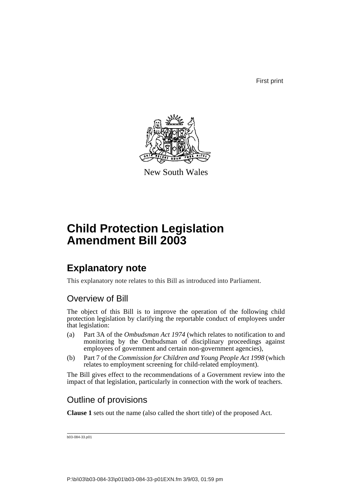First print



New South Wales

# **Child Protection Legislation Amendment Bill 2003**

## **Explanatory note**

This explanatory note relates to this Bill as introduced into Parliament.

## Overview of Bill

The object of this Bill is to improve the operation of the following child protection legislation by clarifying the reportable conduct of employees under that legislation:

- (a) Part 3A of the *Ombudsman Act 1974* (which relates to notification to and monitoring by the Ombudsman of disciplinary proceedings against employees of government and certain non-government agencies),
- (b) Part 7 of the *Commission for Children and Young People Act 1998* (which relates to employment screening for child-related employment).

The Bill gives effect to the recommendations of a Government review into the impact of that legislation, particularly in connection with the work of teachers.

## Outline of provisions

**Clause 1** sets out the name (also called the short title) of the proposed Act.

b03-084-33.p01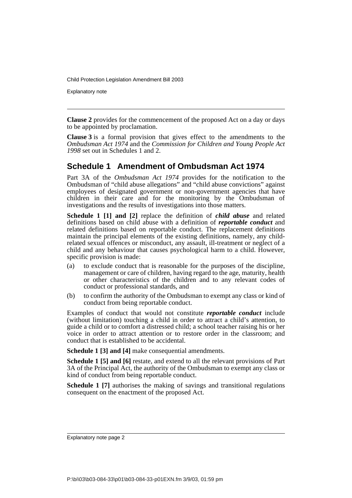Explanatory note

**Clause 2** provides for the commencement of the proposed Act on a day or days to be appointed by proclamation.

**Clause 3** is a formal provision that gives effect to the amendments to the *Ombudsman Act 1974* and the *Commission for Children and Young People Act 1998* set out in Schedules 1 and 2.

## **Schedule 1 Amendment of Ombudsman Act 1974**

Part 3A of the *Ombudsman Act 1974* provides for the notification to the Ombudsman of "child abuse allegations" and "child abuse convictions" against employees of designated government or non-government agencies that have children in their care and for the monitoring by the Ombudsman of investigations and the results of investigations into those matters.

**Schedule 1 [1] and [2]** replace the definition of *child abuse* and related definitions based on child abuse with a definition of *reportable conduct* and related definitions based on reportable conduct. The replacement definitions maintain the principal elements of the existing definitions, namely, any childrelated sexual offences or misconduct, any assault, ill-treatment or neglect of a child and any behaviour that causes psychological harm to a child. However, specific provision is made:

- (a) to exclude conduct that is reasonable for the purposes of the discipline, management or care of children, having regard to the age, maturity, health or other characteristics of the children and to any relevant codes of conduct or professional standards, and
- (b) to confirm the authority of the Ombudsman to exempt any class or kind of conduct from being reportable conduct.

Examples of conduct that would not constitute *reportable conduct* include (without limitation) touching a child in order to attract a child's attention, to guide a child or to comfort a distressed child; a school teacher raising his or her voice in order to attract attention or to restore order in the classroom; and conduct that is established to be accidental.

**Schedule 1 [3] and [4]** make consequential amendments.

**Schedule 1 [5] and [6]** restate, and extend to all the relevant provisions of Part 3A of the Principal Act, the authority of the Ombudsman to exempt any class or kind of conduct from being reportable conduct.

**Schedule 1 [7]** authorises the making of savings and transitional regulations consequent on the enactment of the proposed Act.

Explanatory note page 2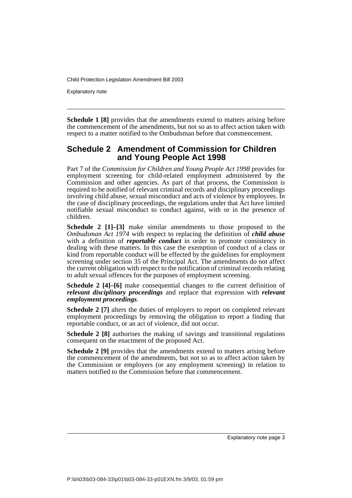Explanatory note

**Schedule 1 [8]** provides that the amendments extend to matters arising before the commencement of the amendments, but not so as to affect action taken with respect to a matter notified to the Ombudsman before that commencement.

## **Schedule 2 Amendment of Commission for Children and Young People Act 1998**

Part 7 of the *Commission for Children and Young People Act 1998* provides for employment screening for child-related employment administered by the Commission and other agencies. As part of that process, the Commission is required to be notified of relevant criminal records and disciplinary proceedings involving child abuse, sexual misconduct and acts of violence by employees. In the case of disciplinary proceedings, the regulations under that Act have limited notifiable sexual misconduct to conduct against, with or in the presence of children.

**Schedule 2 [1]–[3]** make similar amendments to those proposed to the *Ombudsman Act 1974* with respect to replacing the definition of *child abuse* with a definition of *reportable conduct* in order to promote consistency in dealing with these matters. In this case the exemption of conduct of a class or kind from reportable conduct will be effected by the guidelines for employment screening under section 35 of the Principal Act. The amendments do not affect the current obligation with respect to the notification of criminal records relating to adult sexual offences for the purposes of employment screening.

**Schedule 2 [4]–[6]** make consequential changes to the current definition of *relevant disciplinary proceedings* and replace that expression with *relevant employment proceedings*.

**Schedule 2 [7]** alters the duties of employers to report on completed relevant employment proceedings by removing the obligation to report a finding that reportable conduct, or an act of violence, did not occur.

**Schedule 2 [8]** authorises the making of savings and transitional regulations consequent on the enactment of the proposed Act.

**Schedule 2 [9]** provides that the amendments extend to matters arising before the commencement of the amendments, but not so as to affect action taken by the Commission or employers (or any employment screening) in relation to matters notified to the Commission before that commencement.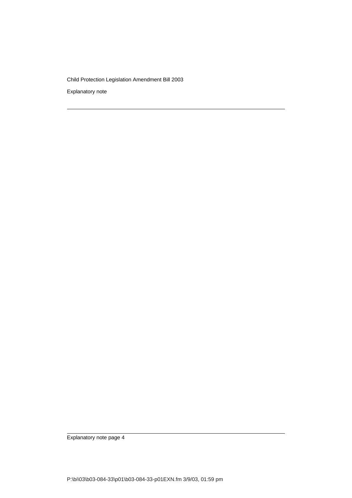Explanatory note

Explanatory note page 4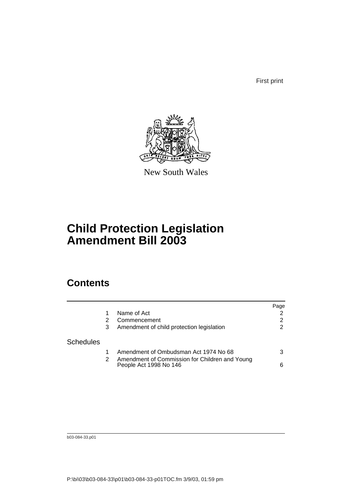First print



New South Wales

# **Child Protection Legislation Amendment Bill 2003**

## **Contents**

|                  |   |                                                                          | Page |
|------------------|---|--------------------------------------------------------------------------|------|
|                  |   | Name of Act                                                              | 2    |
|                  |   | Commencement                                                             | 2    |
|                  | 3 | Amendment of child protection legislation                                | 2    |
| <b>Schedules</b> |   |                                                                          |      |
|                  |   | Amendment of Ombudsman Act 1974 No 68                                    | 3    |
|                  |   | Amendment of Commission for Children and Young<br>People Act 1998 No 146 | 6    |

b03-084-33.p01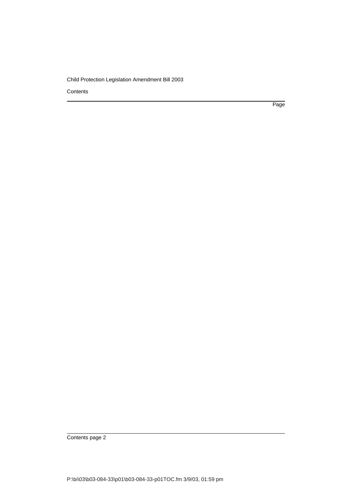**Contents** 

Page

Contents page 2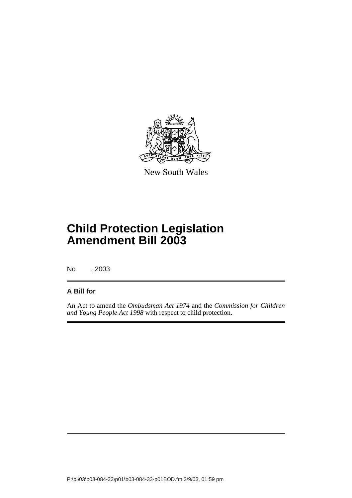

New South Wales

# **Child Protection Legislation Amendment Bill 2003**

No , 2003

## **A Bill for**

An Act to amend the *Ombudsman Act 1974* and the *Commission for Children and Young People Act 1998* with respect to child protection.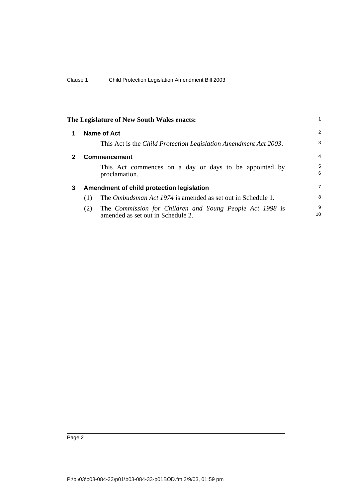<span id="page-7-2"></span><span id="page-7-1"></span><span id="page-7-0"></span>

| The Legislature of New South Wales enacts: |                                                                                                      | 1       |
|--------------------------------------------|------------------------------------------------------------------------------------------------------|---------|
|                                            | <b>Name of Act</b>                                                                                   | 2       |
|                                            | This Act is the Child Protection Legislation Amendment Act 2003.                                     | 3       |
| $\mathbf{2}$                               | <b>Commencement</b>                                                                                  | 4       |
|                                            | This Act commences on a day or days to be appointed by<br>proclamation.                              | 5<br>6  |
| 3                                          | Amendment of child protection legislation                                                            |         |
|                                            | The <i>Ombudsman Act 1974</i> is amended as set out in Schedule 1.<br>(1)                            | 8       |
|                                            | The Commission for Children and Young People Act 1998 is<br>(2)<br>amended as set out in Schedule 2. | 9<br>10 |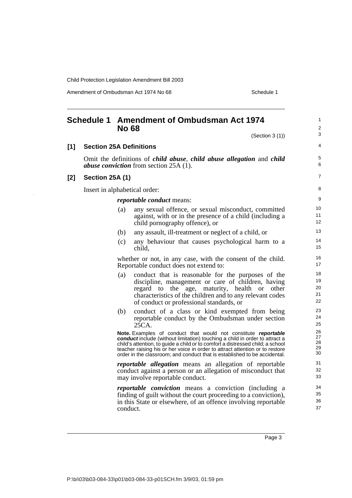Amendment of Ombudsman Act 1974 No 68 Schedule 1

 $\ddot{\phantom{a}}$ 

<span id="page-8-0"></span>

|     |                                | <b>No 68</b> | Schedule 1 Amendment of Ombudsman Act 1974                                                                                                                                                                                                                                                                                                                                                   | 1<br>$\overline{\mathbf{c}}$ |
|-----|--------------------------------|--------------|----------------------------------------------------------------------------------------------------------------------------------------------------------------------------------------------------------------------------------------------------------------------------------------------------------------------------------------------------------------------------------------------|------------------------------|
|     |                                |              | (Section 3 (1))                                                                                                                                                                                                                                                                                                                                                                              | 3                            |
| [1] | <b>Section 25A Definitions</b> |              |                                                                                                                                                                                                                                                                                                                                                                                              | 4                            |
|     |                                |              | Omit the definitions of <i>child abuse</i> , <i>child abuse allegation</i> and <i>child</i><br><i>abuse conviction</i> from section 25A (1).                                                                                                                                                                                                                                                 | 5<br>6                       |
| [2] | <b>Section 25A (1)</b>         |              |                                                                                                                                                                                                                                                                                                                                                                                              | 7                            |
|     |                                |              | Insert in alphabetical order:                                                                                                                                                                                                                                                                                                                                                                | 8                            |
|     |                                |              | <i>reportable conduct means:</i>                                                                                                                                                                                                                                                                                                                                                             | 9                            |
|     |                                | (a)          | any sexual offence, or sexual misconduct, committed<br>against, with or in the presence of a child (including a<br>child pornography offence), or                                                                                                                                                                                                                                            | 10<br>11<br>12               |
|     |                                | (b)          | any assault, ill-treatment or neglect of a child, or                                                                                                                                                                                                                                                                                                                                         | 13                           |
|     |                                | (c)          | any behaviour that causes psychological harm to a<br>child.                                                                                                                                                                                                                                                                                                                                  | 14<br>15                     |
|     |                                |              | whether or not, in any case, with the consent of the child.<br>Reportable conduct does not extend to:                                                                                                                                                                                                                                                                                        | 16<br>17                     |
|     |                                | (a)          | conduct that is reasonable for the purposes of the<br>discipline, management or care of children, having<br>age, maturity, health or other<br>regard to the<br>characteristics of the children and to any relevant codes<br>of conduct or professional standards, or                                                                                                                         | 18<br>19<br>20<br>21<br>22   |
|     |                                | (b)          | conduct of a class or kind exempted from being<br>reportable conduct by the Ombudsman under section<br>$25CA$ .                                                                                                                                                                                                                                                                              | 23<br>24<br>25               |
|     |                                |              | Note. Examples of conduct that would not constitute reportable<br>conduct include (without limitation) touching a child in order to attract a<br>child's attention, to guide a child or to comfort a distressed child; a school<br>teacher raising his or her voice in order to attract attention or to restore<br>order in the classroom; and conduct that is established to be accidental. | 26<br>27<br>28<br>29<br>30   |
|     |                                |              | reportable allegation means an allegation of reportable<br>conduct against a person or an allegation of misconduct that<br>may involve reportable conduct.                                                                                                                                                                                                                                   | 31<br>32<br>33               |
|     |                                |              | <b>reportable conviction</b> means a conviction (including a<br>finding of guilt without the court proceeding to a conviction),<br>in this State or elsewhere, of an offence involving reportable<br>conduct.                                                                                                                                                                                | 34<br>35<br>36<br>37         |

Page 3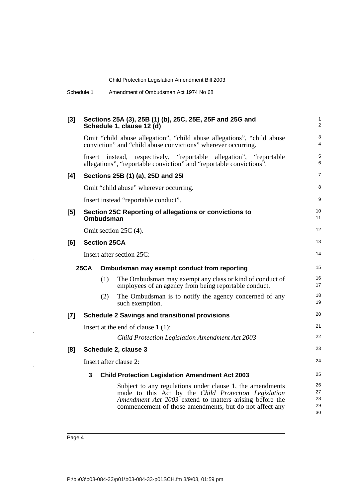#### **[3] Sections 25A (3), 25B (1) (b), 25C, 25E, 25F and 25G and Schedule 1, clause 12 (d)**

Omit "child abuse allegation", "child abuse allegations", "child abuse conviction" and "child abuse convictions" wherever occurring.

1 2

3 4

5 6

Insert instead, respectively, "reportable allegation", "reportable allegations", "reportable conviction" and "reportable convictions".

| [4] |                                      |                     | Sections 25B (1) (a), 25D and 25I                                                                                                                                                                                                       | $\overline{7}$             |
|-----|--------------------------------------|---------------------|-----------------------------------------------------------------------------------------------------------------------------------------------------------------------------------------------------------------------------------------|----------------------------|
|     |                                      |                     | Omit "child abuse" wherever occurring.                                                                                                                                                                                                  | 8                          |
|     |                                      |                     | Insert instead "reportable conduct".                                                                                                                                                                                                    | 9                          |
| [5] |                                      | <b>Ombudsman</b>    | Section 25C Reporting of allegations or convictions to                                                                                                                                                                                  | 10<br>11                   |
|     |                                      |                     | Omit section 25C (4).                                                                                                                                                                                                                   | 12                         |
| [6] |                                      | <b>Section 25CA</b> |                                                                                                                                                                                                                                         | 13                         |
|     |                                      |                     | Insert after section 25C:                                                                                                                                                                                                               | 14                         |
|     | <b>25CA</b>                          |                     | Ombudsman may exempt conduct from reporting                                                                                                                                                                                             | 15                         |
|     |                                      | (1)                 | The Ombudsman may exempt any class or kind of conduct of<br>employees of an agency from being reportable conduct.                                                                                                                       | 16<br>17                   |
|     |                                      | (2)                 | The Ombudsman is to notify the agency concerned of any<br>such exemption.                                                                                                                                                               | 18<br>19                   |
| [7] |                                      |                     | <b>Schedule 2 Savings and transitional provisions</b>                                                                                                                                                                                   | 20                         |
|     | Insert at the end of clause $1(1)$ : |                     |                                                                                                                                                                                                                                         | 21                         |
|     |                                      |                     | Child Protection Legislation Amendment Act 2003                                                                                                                                                                                         | 22                         |
| [8] | Schedule 2, clause 3                 |                     |                                                                                                                                                                                                                                         | 23                         |
|     | Insert after clause 2:               |                     |                                                                                                                                                                                                                                         | 24                         |
|     | 3                                    |                     | <b>Child Protection Legislation Amendment Act 2003</b>                                                                                                                                                                                  | 25                         |
|     |                                      |                     | Subject to any regulations under clause 1, the amendments<br>made to this Act by the Child Protection Legislation<br>Amendment Act 2003 extend to matters arising before the<br>commencement of those amendments, but do not affect any | 26<br>27<br>28<br>29<br>30 |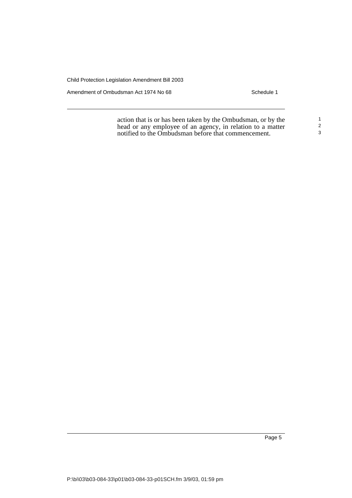Amendment of Ombudsman Act 1974 No 68 Schedule 1

action that is or has been taken by the Ombudsman, or by the head or any employee of an agency, in relation to a matter notified to the Ombudsman before that commencement.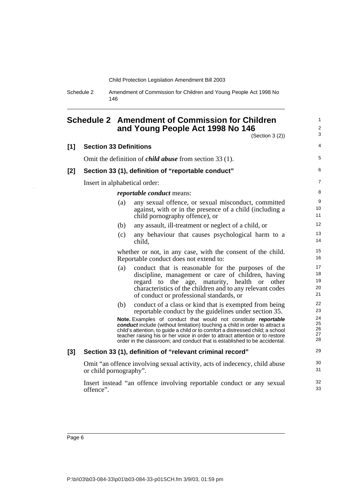Schedule 2 Amendment of Commission for Children and Young People Act 1998 No 146

## <span id="page-11-0"></span>**Schedule 2 Amendment of Commission for Children and Young People Act 1998 No 146**

1 2

|     | (Section 3 (2))                                                                                                                                                                                                                                                                                                                                                                              | 3                          |  |
|-----|----------------------------------------------------------------------------------------------------------------------------------------------------------------------------------------------------------------------------------------------------------------------------------------------------------------------------------------------------------------------------------------------|----------------------------|--|
| [1] | <b>Section 33 Definitions</b>                                                                                                                                                                                                                                                                                                                                                                | 4                          |  |
|     | Omit the definition of <i>child abuse</i> from section 33 (1).                                                                                                                                                                                                                                                                                                                               | 5                          |  |
| [2] | Section 33 (1), definition of "reportable conduct"                                                                                                                                                                                                                                                                                                                                           | 6                          |  |
|     | Insert in alphabetical order:                                                                                                                                                                                                                                                                                                                                                                | $\overline{7}$             |  |
|     | <i>reportable conduct means:</i>                                                                                                                                                                                                                                                                                                                                                             |                            |  |
|     | any sexual offence, or sexual misconduct, committed<br>(a)<br>against, with or in the presence of a child (including a<br>child pornography offence), or                                                                                                                                                                                                                                     | 9<br>10<br>11              |  |
|     | any assault, ill-treatment or neglect of a child, or<br>(b)                                                                                                                                                                                                                                                                                                                                  | 12                         |  |
|     | any behaviour that causes psychological harm to a<br>(c)<br>child.                                                                                                                                                                                                                                                                                                                           | 13<br>14                   |  |
|     | whether or not, in any case, with the consent of the child.<br>Reportable conduct does not extend to:                                                                                                                                                                                                                                                                                        | 15<br>16                   |  |
|     | conduct that is reasonable for the purposes of the<br>(a)<br>discipline, management or care of children, having<br>regard to the age, maturity, health<br>other<br><b>or</b><br>characteristics of the children and to any relevant codes<br>of conduct or professional standards, or                                                                                                        | 17<br>18<br>19<br>20<br>21 |  |
|     | (b)<br>conduct of a class or kind that is exempted from being<br>reportable conduct by the guidelines under section 35.                                                                                                                                                                                                                                                                      | 22<br>23                   |  |
|     | Note. Examples of conduct that would not constitute reportable<br>conduct include (without limitation) touching a child in order to attract a<br>child's attention, to guide a child or to comfort a distressed child; a school<br>teacher raising his or her voice in order to attract attention or to restore<br>order in the classroom; and conduct that is established to be accidental. | 24<br>25<br>26<br>27<br>28 |  |
| [3] | Section 33 (1), definition of "relevant criminal record"                                                                                                                                                                                                                                                                                                                                     | 29                         |  |
|     | Omit "an offence involving sexual activity, acts of indecency, child abuse<br>or child pornography".                                                                                                                                                                                                                                                                                         | 30<br>31                   |  |
|     | Insert instead "an offence involving reportable conduct or any sexual<br>offence".                                                                                                                                                                                                                                                                                                           | 32<br>33                   |  |
|     |                                                                                                                                                                                                                                                                                                                                                                                              |                            |  |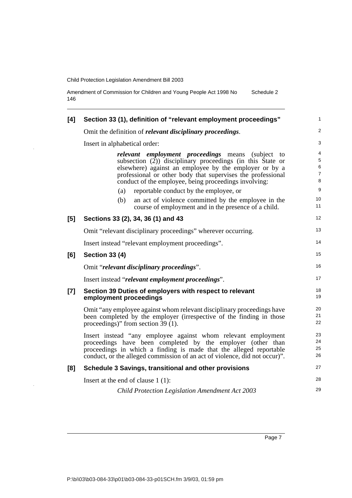Amendment of Commission for Children and Young People Act 1998 No 146 Schedule 2

| [4]   | Section 33 (1), definition of "relevant employment proceedings"                                                                                                                                                                                                                                         | 1                     |
|-------|---------------------------------------------------------------------------------------------------------------------------------------------------------------------------------------------------------------------------------------------------------------------------------------------------------|-----------------------|
|       | Omit the definition of <i>relevant disciplinary proceedings</i> .                                                                                                                                                                                                                                       | $\overline{c}$        |
|       | Insert in alphabetical order:                                                                                                                                                                                                                                                                           |                       |
|       | relevant employment proceedings means<br>(subject to<br>subsection $(2)$ ) disciplinary proceedings (in this State or<br>elsewhere) against an employee by the employer or by a<br>professional or other body that supervises the professional<br>conduct of the employee, being proceedings involving: | 4<br>5<br>6<br>7<br>8 |
|       | reportable conduct by the employee, or<br>(a)                                                                                                                                                                                                                                                           | 9                     |
|       | (b)<br>an act of violence committed by the employee in the<br>course of employment and in the presence of a child.                                                                                                                                                                                      | 10<br>11              |
| [5]   | Sections 33 (2), 34, 36 (1) and 43                                                                                                                                                                                                                                                                      | 12                    |
|       | Omit "relevant disciplinary proceedings" wherever occurring.                                                                                                                                                                                                                                            | 13                    |
|       | Insert instead "relevant employment proceedings".                                                                                                                                                                                                                                                       | 14                    |
| [6]   | <b>Section 33 (4)</b>                                                                                                                                                                                                                                                                                   | 15                    |
|       | Omit "relevant disciplinary proceedings".                                                                                                                                                                                                                                                               | 16                    |
|       | Insert instead "relevant employment proceedings".                                                                                                                                                                                                                                                       | 17                    |
| $[7]$ | Section 39 Duties of employers with respect to relevant<br>employment proceedings                                                                                                                                                                                                                       | 18<br>19              |
|       | Omit "any employee against whom relevant disciplinary proceedings have<br>been completed by the employer (irrespective of the finding in those<br>proceedings)" from section $39(1)$ .                                                                                                                  | 20<br>21<br>22        |
|       | Insert instead "any employee against whom relevant employment<br>proceedings have been completed by the employer (other than<br>proceedings in which a finding is made that the alleged reportable<br>conduct, or the alleged commission of an act of violence, did not occur)".                        | 23<br>24<br>25<br>26  |
| [8]   | Schedule 3 Savings, transitional and other provisions                                                                                                                                                                                                                                                   | 27                    |
|       | Insert at the end of clause $1(1)$ :                                                                                                                                                                                                                                                                    | 28                    |
|       | Child Protection Legislation Amendment Act 2003                                                                                                                                                                                                                                                         | 29                    |

Page 7